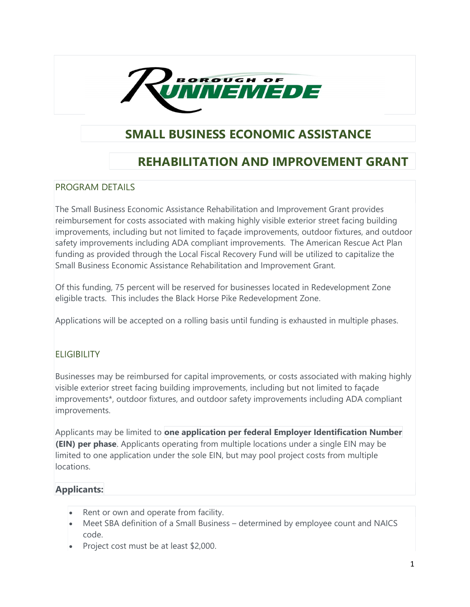

## SMALL BUSINESS ECONOMIC ASSISTANCE

# REHABILITATION AND IMPROVEMENT GRANT

#### PROGRAM DETAILS

The Small Business Economic Assistance Rehabilitation and Improvement Grant provides reimbursement for costs associated with making highly visible exterior street facing building improvements, including but not limited to façade improvements, outdoor fixtures, and outdoor safety improvements including ADA compliant improvements. The American Rescue Act Plan funding as provided through the Local Fiscal Recovery Fund will be utilized to capitalize the Small Business Economic Assistance Rehabilitation and Improvement Grant.

Of this funding, 75 percent will be reserved for businesses located in Redevelopment Zone eligible tracts. This includes the Black Horse Pike Redevelopment Zone.

Applications will be accepted on a rolling basis until funding is exhausted in multiple phases.

## **ELIGIBILITY**

Businesses may be reimbursed for capital improvements, or costs associated with making highly visible exterior street facing building improvements, including but not limited to façade improvements\*, outdoor fixtures, and outdoor safety improvements including ADA compliant improvements.

Applicants may be limited to one application per federal Employer Identification Number (EIN) per phase. Applicants operating from multiple locations under a single EIN may be limited to one application under the sole EIN, but may pool project costs from multiple locations.

## Applicants:

- Rent or own and operate from facility.
- Meet SBA definition of a Small Business determined by employee count and NAICS code.
- Project cost must be at least \$2,000.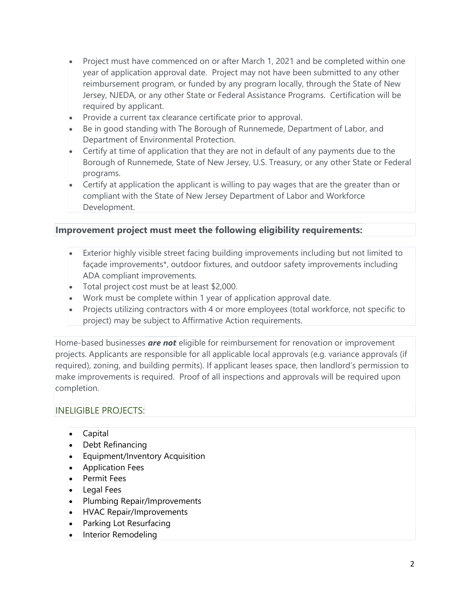- Project must have commenced on or after March 1, 2021 and be completed within one year of application approval date. Project may not have been submitted to any other reimbursement program, or funded by any program locally, through the State of New Jersey, NJEDA, or any other State or Federal Assistance Programs. Certification will be required by applicant.
- Provide a current tax clearance certificate prior to approval.
- Be in good standing with The Borough of Runnemede, Department of Labor, and Department of Environmental Protection.
- Certify at time of application that they are not in default of any payments due to the Borough of Runnemede, State of New Jersey, U.S. Treasury, or any other State or Federal programs.
- Certify at application the applicant is willing to pay wages that are the greater than or compliant with the State of New Jersey Department of Labor and Workforce Development.

## Improvement project must meet the following eligibility requirements:

- Exterior highly visible street facing building improvements including but not limited to façade improvements\*, outdoor fixtures, and outdoor safety improvements including ADA compliant improvements.
- Total project cost must be at least \$2,000.
- Work must be complete within 1 year of application approval date.
- Projects utilizing contractors with 4 or more employees (total workforce, not specific to project) may be subject to Affirmative Action requirements.

Home-based businesses **are not** eligible for reimbursement for renovation or improvement projects. Applicants are responsible for all applicable local approvals (e.g. variance approvals (if required), zoning, and building permits). If applicant leases space, then landlord's permission to make improvements is required. Proof of all inspections and approvals will be required upon completion.

#### INELIGIBLE PROJECTS:

- Capital
- Debt Refinancing
- Equipment/Inventory Acquisition
- **•** Application Fees
- Permit Fees
- Legal Fees
- Plumbing Repair/Improvements
- HVAC Repair/Improvements
- Parking Lot Resurfacing
- Interior Remodeling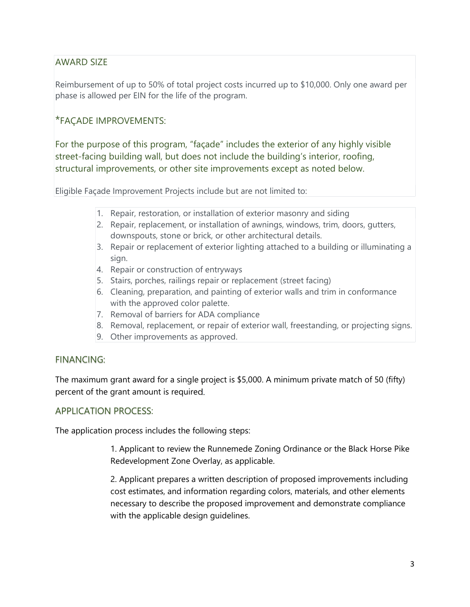## AWARD SIZE

Reimbursement of up to 50% of total project costs incurred up to \$10,000. Only one award per phase is allowed per EIN for the life of the program.

## \*FAÇADE IMPROVEMENTS:

For the purpose of this program, "façade" includes the exterior of any highly visible street-facing building wall, but does not include the building's interior, roofing, structural improvements, or other site improvements except as noted below.

Eligible Façade Improvement Projects include but are not limited to:

- 1. Repair, restoration, or installation of exterior masonry and siding
- 2. Repair, replacement, or installation of awnings, windows, trim, doors, gutters, downspouts, stone or brick, or other architectural details.
- 3. Repair or replacement of exterior lighting attached to a building or illuminating a sign.
- 4. Repair or construction of entryways
- 5. Stairs, porches, railings repair or replacement (street facing)
- 6. Cleaning, preparation, and painting of exterior walls and trim in conformance with the approved color palette.
- 7. Removal of barriers for ADA compliance
- 8. Removal, replacement, or repair of exterior wall, freestanding, or projecting signs.
- 9. Other improvements as approved.

#### FINANCING:

The maximum grant award for a single project is \$5,000. A minimum private match of 50 (fifty) percent of the grant amount is required.

#### APPLICATION PROCESS:

The application process includes the following steps:

1. Applicant to review the Runnemede Zoning Ordinance or the Black Horse Pike Redevelopment Zone Overlay, as applicable.

2. Applicant prepares a written description of proposed improvements including cost estimates, and information regarding colors, materials, and other elements necessary to describe the proposed improvement and demonstrate compliance with the applicable design guidelines.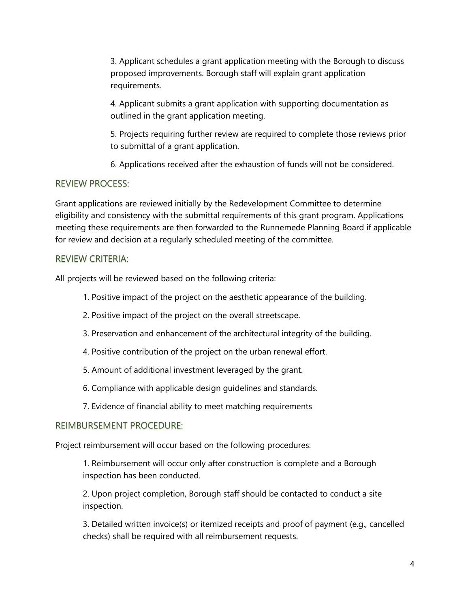3. Applicant schedules a grant application meeting with the Borough to discuss proposed improvements. Borough staff will explain grant application requirements.

4. Applicant submits a grant application with supporting documentation as outlined in the grant application meeting.

5. Projects requiring further review are required to complete those reviews prior to submittal of a grant application.

6. Applications received after the exhaustion of funds will not be considered.

#### REVIEW PROCESS:

Grant applications are reviewed initially by the Redevelopment Committee to determine eligibility and consistency with the submittal requirements of this grant program. Applications meeting these requirements are then forwarded to the Runnemede Planning Board if applicable for review and decision at a regularly scheduled meeting of the committee.

#### REVIEW CRITERIA:

All projects will be reviewed based on the following criteria:

- 1. Positive impact of the project on the aesthetic appearance of the building.
- 2. Positive impact of the project on the overall streetscape.
- 3. Preservation and enhancement of the architectural integrity of the building.
- 4. Positive contribution of the project on the urban renewal effort.
- 5. Amount of additional investment leveraged by the grant.
- 6. Compliance with applicable design guidelines and standards.
- 7. Evidence of financial ability to meet matching requirements

#### REIMBURSEMENT PROCEDURE:

Project reimbursement will occur based on the following procedures:

1. Reimbursement will occur only after construction is complete and a Borough inspection has been conducted.

2. Upon project completion, Borough staff should be contacted to conduct a site inspection.

3. Detailed written invoice(s) or itemized receipts and proof of payment (e.g., cancelled checks) shall be required with all reimbursement requests.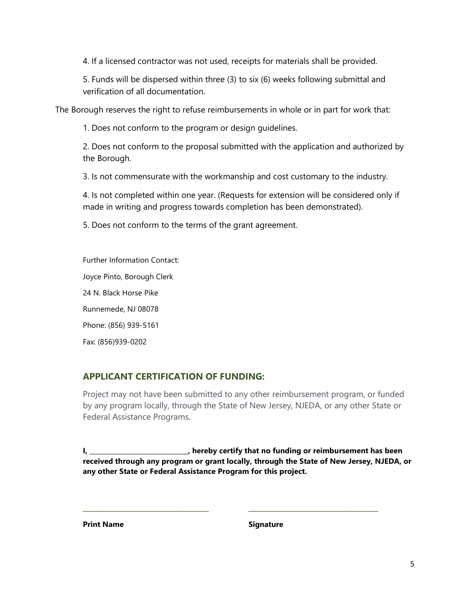4. If a licensed contractor was not used, receipts for materials shall be provided.

5. Funds will be dispersed within three (3) to six (6) weeks following submittal and verification of all documentation.

The Borough reserves the right to refuse reimbursements in whole or in part for work that:

1. Does not conform to the program or design guidelines.

2. Does not conform to the proposal submitted with the application and authorized by the Borough.

3. Is not commensurate with the workmanship and cost customary to the industry.

4. Is not completed within one year. (Requests for extension will be considered only if made in writing and progress towards completion has been demonstrated).

5. Does not conform to the terms of the grant agreement.

Further Information Contact:

Joyce Pinto, Borough Clerk

24 N. Black Horse Pike

Runnemede, NJ 08078

Phone: (856) 939-5161

Fax: (856)939-0202

## APPLICANT CERTIFICATION OF FUNDING:

Project may not have been submitted to any other reimbursement program, or funded by any program locally, through the State of New Jersey, NJEDA, or any other State or Federal Assistance Programs.

I, \_\_\_\_\_\_\_\_\_\_\_\_\_\_\_\_\_\_\_\_\_\_\_\_\_\_, hereby certify that no funding or reimbursement has been received through any program or grant locally, through the State of New Jersey, NJEDA, or any other State or Federal Assistance Program for this project.

\_\_\_\_\_\_\_\_\_\_\_\_\_\_\_\_\_\_\_\_\_\_\_\_\_\_\_\_\_\_\_\_\_ \_\_\_\_\_\_\_\_\_\_\_\_\_\_\_\_\_\_\_\_\_\_\_\_\_\_\_\_\_\_\_\_\_\_

Print Name Signature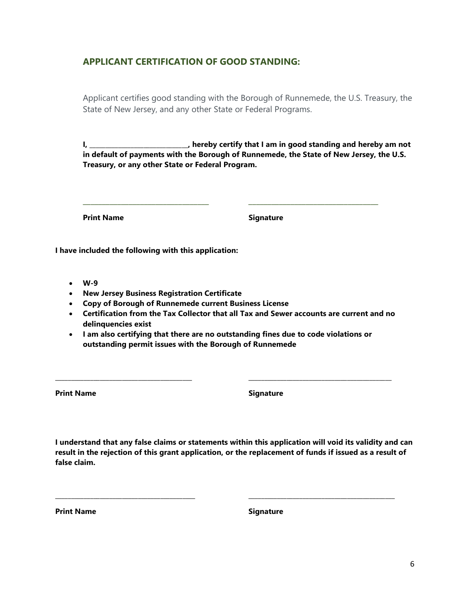#### APPLICANT CERTIFICATION OF GOOD STANDING:

Applicant certifies good standing with the Borough of Runnemede, the U.S. Treasury, the State of New Jersey, and any other State or Federal Programs.

I, \_\_\_\_\_\_\_\_\_\_\_\_\_\_\_\_\_\_\_\_\_\_\_\_\_, hereby certify that I am in good standing and hereby am not in default of payments with the Borough of Runnemede, the State of New Jersey, the U.S. Treasury, or any other State or Federal Program.

\_\_\_\_\_\_\_\_\_\_\_\_\_\_\_\_\_\_\_\_\_\_\_\_\_\_\_\_\_\_\_\_\_ \_\_\_\_\_\_\_\_\_\_\_\_\_\_\_\_\_\_\_\_\_\_\_\_\_\_\_\_\_\_\_\_\_\_

Print Name Signature

I have included the following with this application:

- W-9
- New Jersey Business Registration Certificate
- Copy of Borough of Runnemede current Business License
- Certification from the Tax Collector that all Tax and Sewer accounts are current and no delinquencies exist
- I am also certifying that there are no outstanding fines due to code violations or outstanding permit issues with the Borough of Runnemede

\_\_\_\_\_\_\_\_\_\_\_\_\_\_\_\_\_\_\_\_\_\_\_\_\_\_\_\_\_\_\_\_\_\_\_\_\_\_\_\_\_\_\_ \_\_\_\_\_\_\_\_\_\_\_\_\_\_\_\_\_\_\_\_\_\_\_\_\_\_\_\_\_\_\_\_\_\_\_\_\_\_\_\_\_\_\_\_\_

Print Name Signature

I understand that any false claims or statements within this application will void its validity and can result in the rejection of this grant application, or the replacement of funds if issued as a result of false claim.

\_\_\_\_\_\_\_\_\_\_\_\_\_\_\_\_\_\_\_\_\_\_\_\_\_\_\_\_\_\_\_\_\_\_\_\_\_\_\_\_\_\_\_\_ \_\_\_\_\_\_\_\_\_\_\_\_\_\_\_\_\_\_\_\_\_\_\_\_\_\_\_\_\_\_\_\_\_\_\_\_\_\_\_\_\_\_\_\_\_\_

Print Name Signature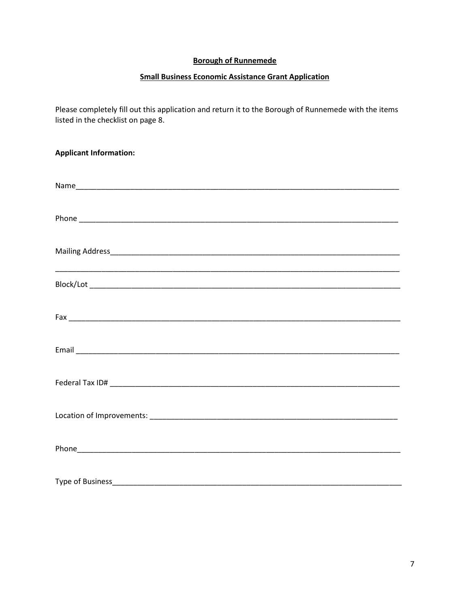#### **Borough of Runnemede**

#### **Small Business Economic Assistance Grant Application**

Please completely fill out this application and return it to the Borough of Runnemede with the items listed in the checklist on page 8.

| <b>Applicant Information:</b>                                                                                        |
|----------------------------------------------------------------------------------------------------------------------|
|                                                                                                                      |
|                                                                                                                      |
|                                                                                                                      |
|                                                                                                                      |
|                                                                                                                      |
|                                                                                                                      |
| <u> 1989 - Johann Stein, marwolaethau a bhann an t-Amhain an t-Amhain an t-Amhain an t-Amhain an t-Amhain an t-A</u> |
|                                                                                                                      |
|                                                                                                                      |
|                                                                                                                      |
|                                                                                                                      |
|                                                                                                                      |
|                                                                                                                      |
|                                                                                                                      |
|                                                                                                                      |
|                                                                                                                      |
|                                                                                                                      |
|                                                                                                                      |
|                                                                                                                      |
| Type of Business________________                                                                                     |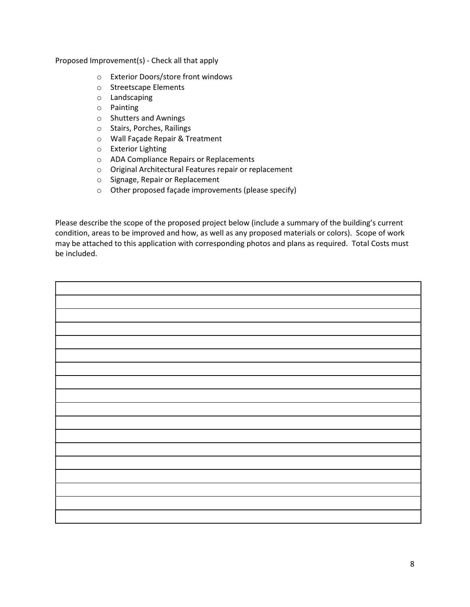Proposed Improvement(s) - Check all that apply

- o Exterior Doors/store front windows
- o Streetscape Elements
- o Landscaping
- o Painting
- o Shutters and Awnings
- o Stairs, Porches, Railings
- o Wall Façade Repair & Treatment
- o Exterior Lighting
- o ADA Compliance Repairs or Replacements
- o Original Architectural Features repair or replacement
- o Signage, Repair or Replacement
- o Other proposed façade improvements (please specify)

Please describe the scope of the proposed project below (include a summary of the building's current condition, areas to be improved and how, as well as any proposed materials or colors). Scope of work may be attached to this application with corresponding photos and plans as required. Total Costs must be included.